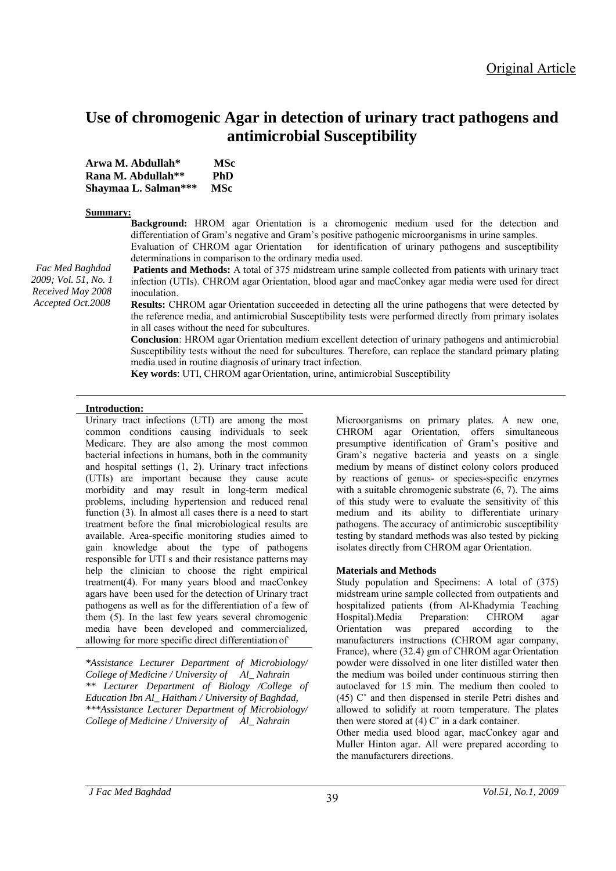# **Use of chromogenic Agar in detection of urinary tract pathogens and antimicrobial Susceptibility**

| Arwa M. Abdullah*    | MSc        |
|----------------------|------------|
| Rana M. Abdullah**   | PhD        |
| Shaymaa L. Salman*** | <b>MSc</b> |

#### **Summary:**

*Accepted Oct.2008*

**Background:** HROM agar Orientation is a chromogenic medium used for the detection and differentiation of Gram's negative and Gram's positive pathogenic microorganisms in urine samples. Evaluation of CHROM agar Orientation for identification of urinary pathogens and susceptibility

determinations in comparison to the ordinary media used.  **Patients and Methods:** A total of 375 midstream urine sample collected from patients with urinary tract

infection (UTIs). CHROM agar Orientation, blood agar and macConkey agar media were used for direct inoculation. *Fac Med Baghdad 2009; Vol. 51, No. 1 Received May 2008*

**Results:** CHROM agar Orientation succeeded in detecting all the urine pathogens that were detected by the reference media, and antimicrobial Susceptibility tests were performed directly from primary isolates in all cases without the need for subcultures.

**Conclusion**: HROM agar Orientation medium excellent detection of urinary pathogens and antimicrobial Susceptibility tests without the need for subcultures. Therefore, can replace the standard primary plating media used in routine diagnosis of urinary tract infection.

**Key words**: UTI, CHROM agar Orientation, urine, antimicrobial Susceptibility

#### **Introduction:**

Urinary tract infections (UTI) are among the most common conditions causing individuals to seek Medicare. They are also among the most common bacterial infections in humans, both in the community and hospital settings (1, 2). Urinary tract infections (UTIs) are important because they cause acute morbidity and may result in long-term medical problems, including hypertension and reduced renal function (3). In almost all cases there is a need to start treatment before the final microbiological results are available. Area-specific monitoring studies aimed to gain knowledge about the type of pathogens responsible for UTI s and their resistance patterns may help the clinician to choose the right empirical treatment(4). For many years blood and macConkey agars have been used for the detection of Urinary tract pathogens as well as for the differentiation of a few of them (5). In the last few years several chromogenic media have been developed and commercialized, allowing for more specific direct differentiation of

*\*Assistance Lecturer Department of Microbiology/ College of Medicine / University of Al\_ Nahrain \*\* Lecturer Department of Biology /College of Education Ibn Al\_ Haitham / University of Baghdad, \*\*\*Assistance Lecturer Department of Microbiology/ College of Medicine / University of Al\_ Nahrain* 

Microorganisms on primary plates. A new one, CHROM agar Orientation, offers simultaneous presumptive identification of Gram's positive and Gram's negative bacteria and yeasts on a single medium by means of distinct colony colors produced by reactions of genus- or species-specific enzymes with a suitable chromogenic substrate (6, 7). The aims of this study were to evaluate the sensitivity of this medium and its ability to differentiate urinary pathogens. The accuracy of antimicrobic susceptibility testing by standard methods was also tested by picking isolates directly from CHROM agar Orientation.

## **Materials and Methods**

Study population and Specimens: A total of (375) midstream urine sample collected from outpatients and hospitalized patients (from Al-Khadymia Teaching Hospital).Media Preparation: CHROM agar Orientation was prepared according to the manufacturers instructions (CHROM agar company, France), where (32.4) gm of CHROM agar Orientation powder were dissolved in one liter distilled water then the medium was boiled under continuous stirring then autoclaved for 15 min. The medium then cooled to (45) C˚ and then dispensed in sterile Petri dishes and allowed to solidify at room temperature. The plates then were stored at  $(4)$  C $\degree$  in a dark container.

Other media used blood agar, macConkey agar and Muller Hinton agar. All were prepared according to the manufacturers directions.

*J Fac Med Baghdad Vol.51, No.1, 2009* <sup>39</sup>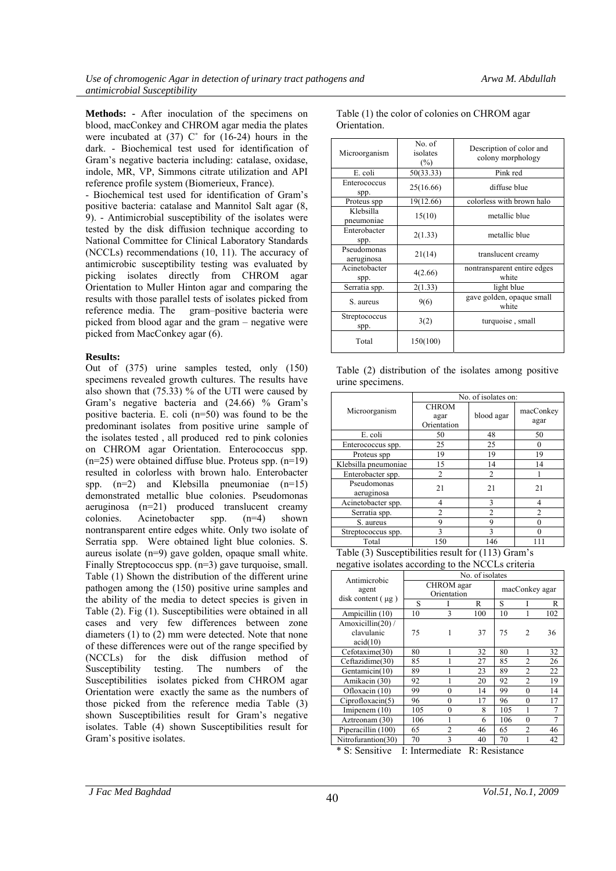**Methods: -** After inoculation of the specimens on blood, macConkey and CHROM agar media the plates were incubated at  $(37)$  C $\degree$  for  $(16-24)$  hours in the dark. - Biochemical test used for identification of Gram's negative bacteria including: catalase, oxidase, indole, MR, VP, Simmons citrate utilization and API reference profile system (Biomerieux, France).

- Biochemical test used for identification of Gram's positive bacteria: catalase and Mannitol Salt agar (8, 9). - Antimicrobial susceptibility of the isolates were tested by the disk diffusion technique according to National Committee for Clinical Laboratory Standards (NCCLs) recommendations (10, 11). The accuracy of antimicrobic susceptibility testing was evaluated by picking isolates directly from CHROM agar Orientation to Muller Hinton agar and comparing the results with those parallel tests of isolates picked from reference media. The gram–positive bacteria were picked from blood agar and the gram – negative were picked from MacConkey agar (6).

## **Results:**

Out of (375) urine samples tested, only (150) specimens revealed growth cultures. The results have also shown that (75.33) % of the UTI were caused by Gram's negative bacteria and (24.66) % Gram's positive bacteria. E. coli (n=50) was found to be the predominant isolates from positive urine sample of the isolates tested , all produced red to pink colonies on CHROM agar Orientation. Enterococcus spp.  $(n=25)$  were obtained diffuse blue. Proteus spp.  $(n=19)$ resulted in colorless with brown halo. Enterobacter spp.  $(n=2)$  and Klebsilla pneumoniae  $(n=15)$ demonstrated metallic blue colonies. Pseudomonas aeruginosa (n=21) produced translucent creamy colonies. Acinetobacter spp. (n=4) shown nontransparent entire edges white. Only two isolate of Serratia spp. Were obtained light blue colonies. S. aureus isolate (n=9) gave golden, opaque small white. Finally Streptococcus spp. (n=3) gave turquoise, small. Table (1) Shown the distribution of the different urine pathogen among the (150) positive urine samples and the ability of the media to detect species is given in Table (2). Fig (1). Susceptibilities were obtained in all cases and very few differences between zone diameters (1) to (2) mm were detected. Note that none of these differences were out of the range specified by (NCCLs) for the disk diffusion method of Susceptibility testing. The numbers of the Susceptibilities isolates picked from CHROM agar Orientation were exactly the same as the numbers of those picked from the reference media Table (3) shown Susceptibilities result for Gram's negative isolates. Table (4) shown Susceptibilities result for Gram's positive isolates.

| Microorganism             | No. of<br>isolates<br>$(\%)$ | Description of color and<br>colony morphology |
|---------------------------|------------------------------|-----------------------------------------------|
| E. coli                   | 50(33.33)                    | Pink red                                      |
| Enterococcus<br>spp.      | 25(16.66)                    | diffuse blue                                  |
| Proteus spp               | 19(12.66)                    | colorless with brown halo                     |
| Klebsilla<br>pneumoniae   | 15(10)                       | metallic blue                                 |
| Enterobacter<br>spp.      | 2(1.33)                      | metallic blue                                 |
| Pseudomonas<br>aeruginosa | 21(14)                       | translucent creamy                            |
| Acinetobacter<br>spp.     | 4(2.66)                      | nontransparent entire edges<br>white          |
| Serratia spp.             | 2(1.33)                      | light blue                                    |
| S. aureus                 | 9(6)                         | gave golden, opaque small<br>white            |
| Streptococcus<br>spp.     | 3(2)                         | turquoise, small                              |
| Total                     | 150(100)                     |                                               |

Table (1) the color of colonies on CHROM agar Orientation.

|                  | Table (2) distribution of the isolates among positive |  |  |
|------------------|-------------------------------------------------------|--|--|
| urine specimens. |                                                       |  |  |

|                           | No. of isolates on:                 |                |                   |  |  |
|---------------------------|-------------------------------------|----------------|-------------------|--|--|
| Microorganism             | <b>CHROM</b><br>agar<br>Orientation | blood agar     | macConkey<br>agar |  |  |
| E. coli                   | 50                                  | 48             | 50                |  |  |
| Enterococcus spp.         | 25                                  | 25             | $\theta$          |  |  |
| Proteus spp               | 19                                  | 19             | 19                |  |  |
| Klebsilla pneumoniae      | 15                                  | 14             | 14                |  |  |
| Enterobacter spp.         | 2                                   | $\overline{c}$ |                   |  |  |
| Pseudomonas<br>aeruginosa | 21                                  | 21             | 21                |  |  |
| Acinetobacter spp.        | 4                                   | 3              | 4                 |  |  |
| Serratia spp.             | $\mathfrak{D}$                      | $\mathfrak{D}$ | $\mathfrak{D}$    |  |  |
| S. aureus                 | 9                                   | 9              |                   |  |  |
| Streptococcus spp.        | 3                                   | 3              |                   |  |  |
| Total                     | 150                                 | 146            |                   |  |  |

Table (3) Susceptibilities result for (113) Gram's negative isolates according to the NCCLs criteria

| Antimicrobic                               | No. of isolates           |          |     |                |                |     |
|--------------------------------------------|---------------------------|----------|-----|----------------|----------------|-----|
| agent<br>disk content $(\mu g)$            | CHROM agar<br>Orientation |          |     | macConkey agar |                |     |
|                                            | S                         | I        | R   | S              |                | R   |
| Ampicillin (10)                            | 10                        | 3        | 100 | 10             |                | 102 |
| Amoxicillin(20)/<br>clavulanic<br>acid(10) | 75                        | 1        | 37  | 75             | 2              | 36  |
| Cefotaxime(30)                             | 80                        | 1        | 32  | 80             | 1              | 32  |
| Ceftazidime(30)                            | 85                        |          | 27  | 85             | $\mathfrak{D}$ | 26  |
| Gentamicin(10)                             | 89                        |          | 23  | 89             | $\mathfrak{D}$ | 22  |
| Amikacin (30)                              | 92                        |          | 20  | 92             | $\mathfrak{D}$ | 19  |
| Ofloxacin (10)                             | 99                        | 0        | 14  | 99             | $\Omega$       | 14  |
| Ciproflox (5)                              | 96                        | 0        | 17  | 96             | 0              | 17  |
| Imipenem $(10)$                            | 105                       | $\theta$ | 8   | 105            | 1              | 7   |
| Aztreonam (30)                             | 106                       |          | 6   | 106            | 0              | 7   |
| Piperacillin (100)                         | 65                        | 2        | 46  | 65             | $\overline{c}$ | 46  |
| Nitrofurantion(30)                         | 70                        | 3        | 40  | 70             |                | 42  |

\* S: Sensitive I: Intermediate R: Resistance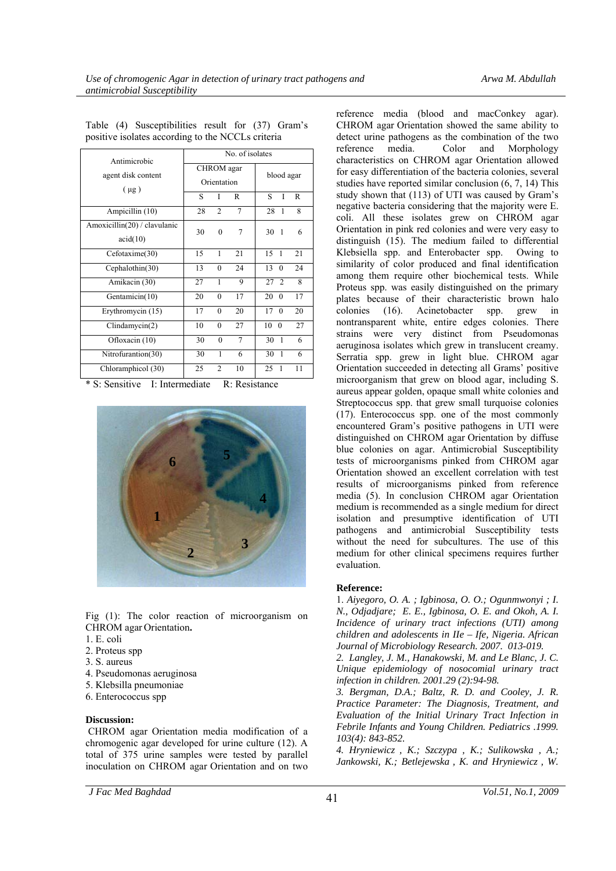| Antimicrobic                             | No. of isolates                  |                |        |                           |  |
|------------------------------------------|----------------------------------|----------------|--------|---------------------------|--|
| agent disk content                       | <b>CHROM</b> agar<br>Orientation |                |        | blood agar                |  |
| $(\mu g)$                                | S                                | I              | R      | I<br>S<br>R               |  |
| Ampicillin (10)                          | 28                               | $\overline{2}$ | 7      | 28<br>8<br>1              |  |
| Amoxicillin(20) / clavulanic<br>acid(10) | 30                               | $\mathbf{0}$   | 7      | 30<br>$\mathbf{1}$<br>6   |  |
| Cefotaxime(30)                           | 15                               | 1              | 21     | 15<br>21<br>1             |  |
| Cephalothin(30)                          | 13                               | $\theta$       | 24     | 13<br>24<br>$\theta$      |  |
| Amikacin (30)                            | 27                               | 1              | 9      | 27<br>$\overline{2}$<br>8 |  |
| Gentamicin(10)                           | 20                               | $\mathbf{0}$   | 17     | 17<br>20<br>$\theta$      |  |
| Erythromycin (15)                        | 17                               | $\theta$       | 20     | 20<br>17<br>$\theta$      |  |
| $C$ lindamycin $(2)$                     | 10                               | $\theta$       | 27     | 27<br>10<br>$\theta$      |  |
| Ofloxacin (10)                           | 30                               | $\theta$       | $\tau$ | 30<br>$\mathbf{1}$<br>6   |  |
| Nitrofurantion(30)                       | 30                               | 1              | 6      | 30<br>1<br>6              |  |
| Chloramphicol (30)                       | 25                               | $\overline{2}$ | 10     | 11<br>25<br>1             |  |

Table (4) Susceptibilities result for (37) Gram's positive isolates according to the NCCLs criteria

\* S: Sensitive I: Intermediate R: Resistance



Fig (1): The color reaction of microorganism on CHROM agar Orientation**.** 

- 1. E. coli
- 2. Proteus spp
- 3. S. aureus
- 4. Pseudomonas aeruginosa
- 5. Klebsilla pneumoniae
- 6. Enterococcus spp

#### **Discussion:**

 CHROM agar Orientation media modification of a chromogenic agar developed for urine culture (12). A total of 375 urine samples were tested by parallel inoculation on CHROM agar Orientation and on two reference media (blood and macConkey agar). CHROM agar Orientation showed the same ability to detect urine pathogens as the combination of the two reference media. Color and Morphology characteristics on CHROM agar Orientation allowed for easy differentiation of the bacteria colonies, several studies have reported similar conclusion (6, 7, 14) This study shown that (113) of UTI was caused by Gram's negative bacteria considering that the majority were E. coli. All these isolates grew on CHROM agar Orientation in pink red colonies and were very easy to distinguish (15). The medium failed to differential Klebsiella spp. and Enterobacter spp. Owing to similarity of color produced and final identification among them require other biochemical tests. While Proteus spp. was easily distinguished on the primary plates because of their characteristic brown halo colonies (16). Acinetobacter spp. grew in nontransparent white, entire edges colonies. There strains were very distinct from Pseudomonas aeruginosa isolates which grew in translucent creamy. Serratia spp. grew in light blue. CHROM agar Orientation succeeded in detecting all Grams' positive microorganism that grew on blood agar, including S. aureus appear golden, opaque small white colonies and Streptococcus spp. that grew small turquoise colonies (17). Enterococcus spp. one of the most commonly encountered Gram's positive pathogens in UTI were distinguished on CHROM agar Orientation by diffuse blue colonies on agar. Antimicrobial Susceptibility tests of microorganisms pinked from CHROM agar Orientation showed an excellent correlation with test results of microorganisms pinked from reference media (5). In conclusion CHROM agar Orientation medium is recommended as a single medium for direct isolation and presumptive identification of UTI pathogens and antimicrobial Susceptibility tests without the need for subcultures. The use of this medium for other clinical specimens requires further evaluation.

## **Reference:**

1. *Aiyegoro, O. A. ; Igbinosa, O. O.; Ogunmwonyi ; I. N., Odjadjare; E. E., Igbinosa, O. E. and Okoh, A. I. Incidence of urinary tract infections (UTI) among children and adolescents in IIe – Ife, Nigeria. African Journal of Microbiology Research. 2007. 013-019.* 

*2. Langley, J. M., Hanakowski, M. and Le Blanc, J. C. Unique epidemiology of nosocomial urinary tract infection in children. 2001.29 (2):94-98.* 

*3. Bergman, D.A.; Baltz, R. D. and Cooley, J. R. Practice Parameter: The Diagnosis, Treatment, and Evaluation of the Initial Urinary Tract Infection in Febrile Infants and Young Children. Pediatrics .1999. 103(4): 843-852.* 

*4. Hryniewicz , K.; Szczypa , K.; Sulikowska , A.; Jankowski, K.; Betlejewska , K. and Hryniewicz , W.* 

*J Fac Med Baghdad Vol.51, No.1, 2009* <sup>41</sup>